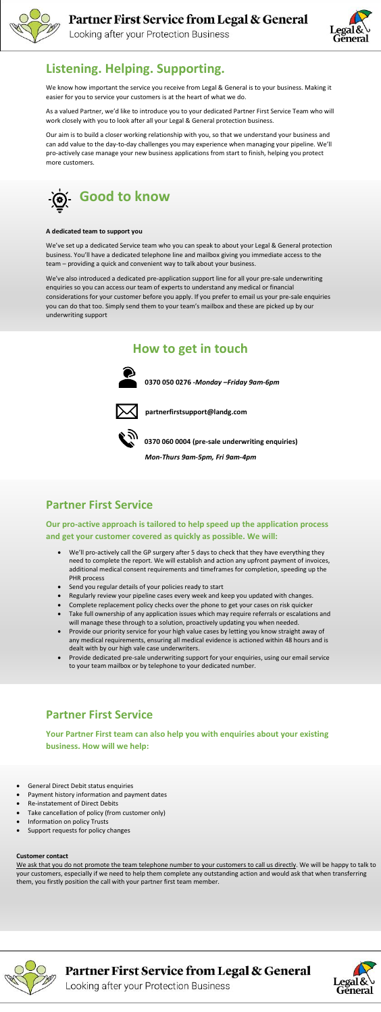

Looking after your Protection Business



#### **Customer contact**

We ask that you do not promote the team telephone number to your customers to call us directly. We will be happy to talk to your customers, especially if we need to help them complete any outstanding action and would ask that when transferring them, you firstly position the call with your partner first team member.



Partner First Service from Legal & General



Looking after your Protection Business

## **Listening. Helping. Supporting.**

We know how important the service you receive from Legal & General is to your business. Making it easier for you to service your customers is at the heart of what we do.

As a valued Partner, we'd like to introduce you to your dedicated Partner First Service Team who will work closely with you to look after all your Legal & General protection business.

Our aim is to build a closer working relationship with you, so that we understand your business and can add value to the day-to-day challenges you may experience when managing your pipeline. We'll pro-actively case manage your new business applications from start to finish, helping you protect more customers.



#### **A dedicated team to support you**

We've set up a dedicated Service team who you can speak to about your Legal & General protection business. You'll have a dedicated telephone line and mailbox giving you immediate access to the team – providing a quick and convenient way to talk about your business.

We've also introduced a dedicated pre-application support line for all your pre-sale underwriting enquiries so you can access our team of experts to understand any medical or financial considerations for your customer before you apply. If you prefer to email us your pre-sale enquiries you can do that too. Simply send them to your team's mailbox and these are picked up by our underwriting support

### **How to get in touch**



 **0370 050 0276 -***Monday –Friday 9am-6pm*



 **partnerfirstsupport@landg.com**



**0370 060 0004 (pre-sale underwriting enquiries)**

*Mon-Thurs 9am-5pm, Fri 9am-4pm* 

### **Partner First Service**

**Our pro-active approach is tailored to help speed up the application process and get your customer covered as quickly as possible. We will:**

- We'll pro-actively call the GP surgery after 5 days to check that they have everything they need to complete the report. We will establish and action any upfront payment of invoices, additional medical consent requirements and timeframes for completion, speeding up the
- PHR process
- Send you regular details of your policies ready to start
- Regularly review your pipeline cases every week and keep you updated with changes.
- Complete replacement policy checks over the phone to get your cases on risk quicker
- Take full ownership of any application issues which may require referrals or escalations and will manage these through to a solution, proactively updating you when needed.
- Provide our priority service for your high value cases by letting you know straight away of any medical requirements, ensuring all medical evidence is actioned within 48 hours and is dealt with by our high vale case underwriters.
- Provide dedicated pre-sale underwriting support for your enquiries, using our email service to your team mailbox or by telephone to your dedicated number.

#### **Partner First Service**

**Your Partner First team can also help you with enquiries about your existing business. How will we help:**

- General Direct Debit status enquiries
- Payment history information and payment dates
- Re-instatement of Direct Debits
- Take cancellation of policy (from customer only)
- Information on policy Trusts
- Support requests for policy changes